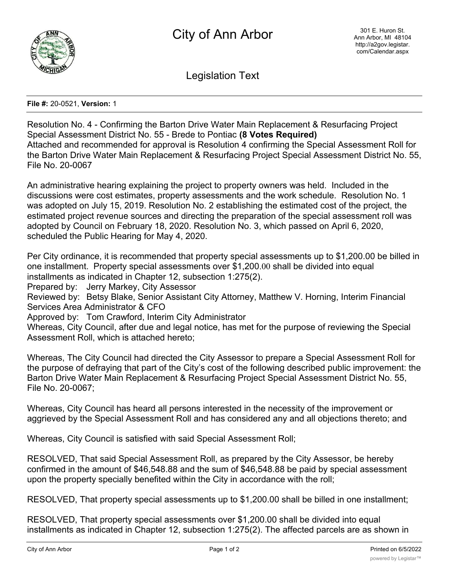

Legislation Text

**File #:** 20-0521, **Version:** 1

Resolution No. 4 - Confirming the Barton Drive Water Main Replacement & Resurfacing Project Special Assessment District No. 55 - Brede to Pontiac **(8 Votes Required)** Attached and recommended for approval is Resolution 4 confirming the Special Assessment Roll for the Barton Drive Water Main Replacement & Resurfacing Project Special Assessment District No. 55, File No. 20-0067

An administrative hearing explaining the project to property owners was held. Included in the discussions were cost estimates, property assessments and the work schedule. Resolution No. 1 was adopted on July 15, 2019. Resolution No. 2 establishing the estimated cost of the project, the estimated project revenue sources and directing the preparation of the special assessment roll was adopted by Council on February 18, 2020. Resolution No. 3, which passed on April 6, 2020, scheduled the Public Hearing for May 4, 2020.

Per City ordinance, it is recommended that property special assessments up to \$1,200.00 be billed in one installment. Property special assessments over \$1,200.00 shall be divided into equal installments as indicated in Chapter 12, subsection 1:275(2).

Prepared by: Jerry Markey, City Assessor

Reviewed by: Betsy Blake, Senior Assistant City Attorney, Matthew V. Horning, Interim Financial Services Area Administrator & CFO

Approved by: Tom Crawford, Interim City Administrator

Whereas, City Council, after due and legal notice, has met for the purpose of reviewing the Special Assessment Roll, which is attached hereto;

Whereas, The City Council had directed the City Assessor to prepare a Special Assessment Roll for the purpose of defraying that part of the City's cost of the following described public improvement: the Barton Drive Water Main Replacement & Resurfacing Project Special Assessment District No. 55, File No. 20-0067;

Whereas, City Council has heard all persons interested in the necessity of the improvement or aggrieved by the Special Assessment Roll and has considered any and all objections thereto; and

Whereas, City Council is satisfied with said Special Assessment Roll;

RESOLVED, That said Special Assessment Roll, as prepared by the City Assessor, be hereby confirmed in the amount of \$46,548.88 and the sum of \$46,548.88 be paid by special assessment upon the property specially benefited within the City in accordance with the roll;

RESOLVED, That property special assessments up to \$1,200.00 shall be billed in one installment;

RESOLVED, That property special assessments over \$1,200.00 shall be divided into equal installments as indicated in Chapter 12, subsection 1:275(2). The affected parcels are as shown in